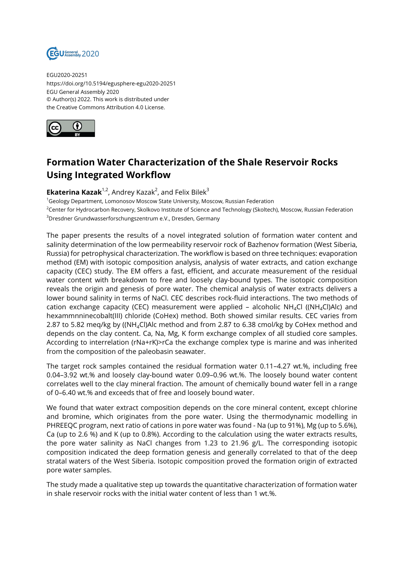

EGU2020-20251 https://doi.org/10.5194/egusphere-egu2020-20251 EGU General Assembly 2020 © Author(s) 2022. This work is distributed under the Creative Commons Attribution 4.0 License.



## **Formation Water Characterization of the Shale Reservoir Rocks Using Integrated Workflow**

**Ekaterina Kazak**<sup>1,2</sup>, Andrey Kazak<sup>2</sup>, and Felix Bilek<sup>3</sup>

<sup>1</sup>Geology Department, Lomonosov Moscow State University, Moscow, Russian Federation

<sup>2</sup>Center for Hydrocarbon Recovery, Skolkovo Institute of Science and Technology (Skoltech), Moscow, Russian Federation <sup>3</sup>Dresdner Grundwasserforschungszentrum e.V., Dresden, Germany

The paper presents the results of a novel integrated solution of formation water content and salinity determination of the low permeability reservoir rock of Bazhenov formation (West Siberia, Russia) for petrophysical characterization. The workflow is based on three techniques: evaporation method (EM) with isotopic composition analysis, analysis of water extracts, and cation exchange capacity (CEC) study. The EM offers a fast, efficient, and accurate measurement of the residual water content with breakdown to free and loosely clay-bound types. The isotopic composition reveals the origin and genesis of pore water. The chemical analysis of water extracts delivers a lower bound salinity in terms of NaCl. CEC describes rock-fluid interactions. The two methods of cation exchange capacity (CEC) measurement were applied – alcoholic  $NH<sub>4</sub>Cl$  ((NH<sub>4</sub>Cl)Alc) and hexammnninecobalt(III) chloride (CoHex) method. Both showed similar results. CEC varies from 2.87 to 5.82 meq/kg by ((NH4Cl)Alc method and from 2.87 to 6.38 cmol/kg by CoHex method and depends on the clay content. Ca, Na, Mg, K form exchange complex of all studied core samples. According to interrelation (rNa+rK)>rCa the exchange complex type is marine and was inherited from the composition of the paleobasin seawater.

The target rock samples contained the residual formation water 0.11–4.27 wt.%, including free 0.04–3.92 wt.% and loosely clay-bound water 0.09–0.96 wt.%. The loosely bound water content correlates well to the clay mineral fraction. The amount of chemically bound water fell in a range of 0–6.40 wt.% and exceeds that of free and loosely bound water.

We found that water extract composition depends on the core mineral content, except chlorine and bromine, which originates from the pore water. Using the thermodynamic modelling in PHREEQC program, next ratio of cations in pore water was found - Na (up to 91%), Mg (up to 5.6%), Ca (up to 2.6 %) and K (up to 0.8%). According to the calculation using the water extracts results, the pore water salinity as NaCl changes from 1.23 to 21.96 g/L. The corresponding isotopic composition indicated the deep formation genesis and generally correlated to that of the deep stratal waters of the West Siberia. Isotopic composition proved the formation origin of extracted pore water samples.

The study made a qualitative step up towards the quantitative characterization of formation water in shale reservoir rocks with the initial water content of less than 1 wt.%.